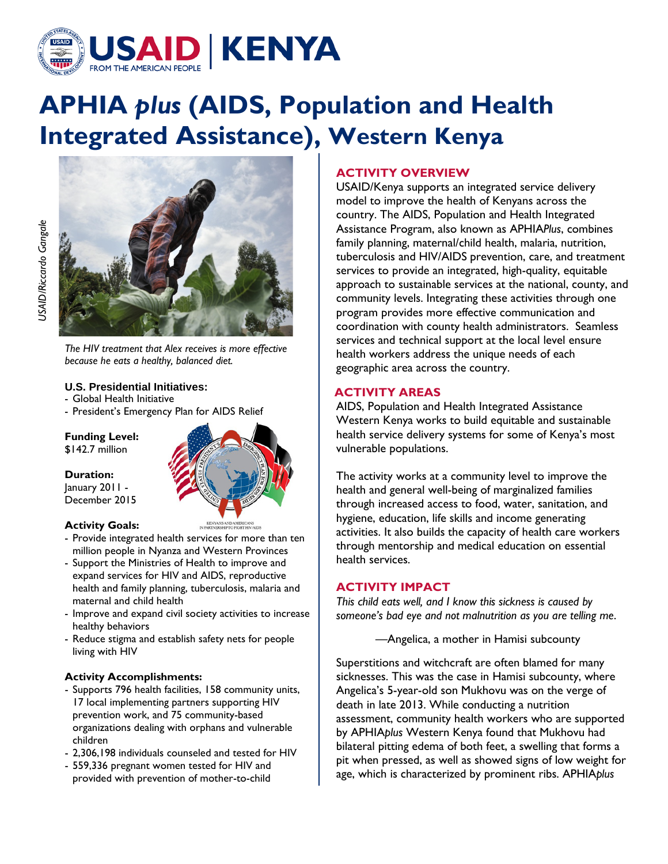

# **APHIA** *plus* **(AIDS, Population and Health Integrated Assistance), Western Kenya**



*The HIV treatment that Alex receives is more effective because he eats a healthy, balanced diet.*

## **U.S. Presidential Initiatives:**

- Global Health Initiative
- President's Emergency Plan for AIDS Relief

**Funding Level:**

\$142.7 million

**Duration:**

January 2011 - December 2015

- **Activity Goals:**
- Provide integrated health services for more than ten million people in Nyanza and Western Provinces
- Support the Ministries of Health to improve and expand services for HIV and AIDS, reproductive health and family planning, tuberculosis, malaria and maternal and child health
- Improve and expand civil society activities to increase healthy behaviors
- Reduce stigma and establish safety nets for people living with HIV

# **Activity Accomplishments:**

- Supports 796 health facilities, 158 community units, 17 local implementing partners supporting HIV prevention work, and 75 community-based organizations dealing with orphans and vulnerable children
- 2,306,198 individuals counseled and tested for HIV
- 559,336 pregnant women tested for HIV and provided with prevention of mother-to-child

# **ACTIVITY OVERVIEW**

USAID/Kenya supports an integrated service delivery model to improve the health of Kenyans across the country. The AIDS, Population and Health Integrated Assistance Program, also known as APHIA*Plus*, combines family planning, maternal/child health, malaria, nutrition, tuberculosis and HIV/AIDS prevention, care, and treatment services to provide an integrated, high-quality, equitable approach to sustainable services at the national, county, and community levels. Integrating these activities through one program provides more effective communication and coordination with county health administrators. Seamless services and technical support at the local level ensure health workers address the unique needs of each geographic area across the country.

# **ACTIVITY AREAS**

AIDS, Population and Health Integrated Assistance Western Kenya works to build equitable and sustainable health service delivery systems for some of Kenya's most vulnerable populations.

The activity works at a community level to improve the health and general well-being of marginalized families through increased access to food, water, sanitation, and hygiene, education, life skills and income generating activities. It also builds the capacity of health care workers through mentorship and medical education on essential health services.

# **ACTIVITY IMPACT**

*This child eats well, and I know this sickness is caused by someone's bad eye and not malnutrition as you are telling me*.

—Angelica, a mother in Hamisi subcounty

Superstitions and witchcraft are often blamed for many sicknesses. This was the case in Hamisi subcounty, where Angelica's 5-year-old son Mukhovu was on the verge of death in late 2013. While conducting a nutrition assessment, community health workers who are supported by APHIA*plus* Western Kenya found that Mukhovu had bilateral pitting edema of both feet, a swelling that forms a pit when pressed, as well as showed signs of low weight for age, which is characterized by prominent ribs. APHIA*plus*